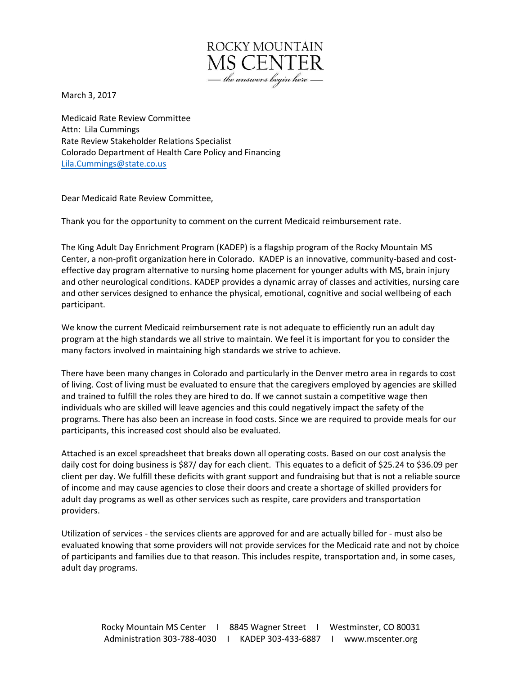

March 3, 2017

Medicaid Rate Review Committee Attn: Lila Cummings Rate Review Stakeholder Relations Specialist Colorado Department of Health Care Policy and Financing [Lila.Cummings@state.co.us](mailto:Lila.Cummings@state.co.us)

Dear Medicaid Rate Review Committee,

Thank you for the opportunity to comment on the current Medicaid reimbursement rate.

The King Adult Day Enrichment Program (KADEP) is a flagship program of the Rocky Mountain MS Center, a non-profit organization here in Colorado. KADEP is an innovative, community-based and costeffective day program alternative to nursing home placement for younger adults with MS, brain injury and other neurological conditions. KADEP provides a dynamic array of classes and activities, nursing care and other services designed to enhance the physical, emotional, cognitive and social wellbeing of each participant.

We know the current Medicaid reimbursement rate is not adequate to efficiently run an adult day program at the high standards we all strive to maintain. We feel it is important for you to consider the many factors involved in maintaining high standards we strive to achieve.

There have been many changes in Colorado and particularly in the Denver metro area in regards to cost of living. Cost of living must be evaluated to ensure that the caregivers employed by agencies are skilled and trained to fulfill the roles they are hired to do. If we cannot sustain a competitive wage then individuals who are skilled will leave agencies and this could negatively impact the safety of the programs. There has also been an increase in food costs. Since we are required to provide meals for our participants, this increased cost should also be evaluated.

Attached is an excel spreadsheet that breaks down all operating costs. Based on our cost analysis the daily cost for doing business is \$87/ day for each client. This equates to a deficit of \$25.24 to \$36.09 per client per day. We fulfill these deficits with grant support and fundraising but that is not a reliable source of income and may cause agencies to close their doors and create a shortage of skilled providers for adult day programs as well as other services such as respite, care providers and transportation providers.

Utilization of services - the services clients are approved for and are actually billed for - must also be evaluated knowing that some providers will not provide services for the Medicaid rate and not by choice of participants and families due to that reason. This includes respite, transportation and, in some cases, adult day programs.